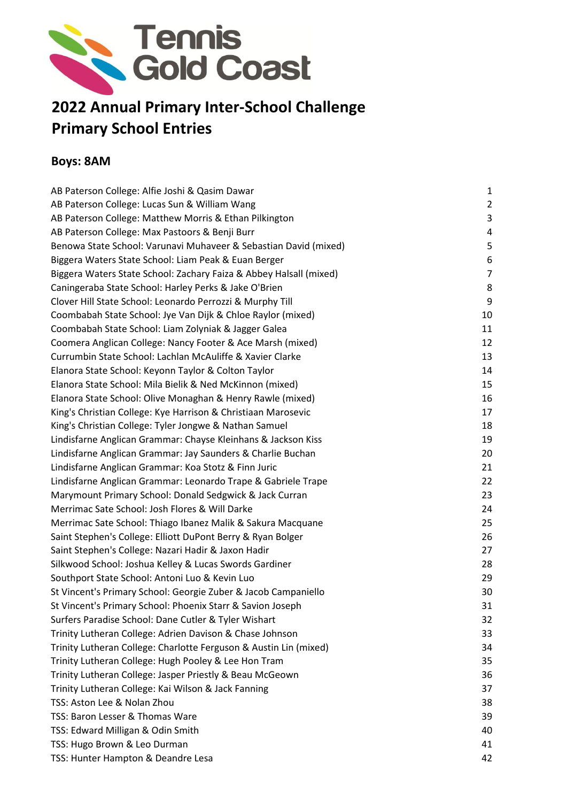

# **2022 Annual Primary Inter-School Challenge Primary School Entries**

### **Boys: 8AM**

| AB Paterson College: Alfie Joshi & Qasim Dawar                     | $\mathbf{1}$   |
|--------------------------------------------------------------------|----------------|
| AB Paterson College: Lucas Sun & William Wang                      | $\overline{2}$ |
| AB Paterson College: Matthew Morris & Ethan Pilkington             | 3              |
| AB Paterson College: Max Pastoors & Benji Burr                     | 4              |
| Benowa State School: Varunavi Muhaveer & Sebastian David (mixed)   | 5              |
| Biggera Waters State School: Liam Peak & Euan Berger               | 6              |
| Biggera Waters State School: Zachary Faiza & Abbey Halsall (mixed) | $\overline{7}$ |
| Caningeraba State School: Harley Perks & Jake O'Brien              | 8              |
| Clover Hill State School: Leonardo Perrozzi & Murphy Till          | 9              |
| Coombabah State School: Jye Van Dijk & Chloe Raylor (mixed)        | 10             |
| Coombabah State School: Liam Zolyniak & Jagger Galea               | 11             |
| Coomera Anglican College: Nancy Footer & Ace Marsh (mixed)         | 12             |
| Currumbin State School: Lachlan McAuliffe & Xavier Clarke          | 13             |
| Elanora State School: Keyonn Taylor & Colton Taylor                | 14             |
| Elanora State School: Mila Bielik & Ned McKinnon (mixed)           | 15             |
| Elanora State School: Olive Monaghan & Henry Rawle (mixed)         | 16             |
| King's Christian College: Kye Harrison & Christiaan Marosevic      | 17             |
| King's Christian College: Tyler Jongwe & Nathan Samuel             | 18             |
| Lindisfarne Anglican Grammar: Chayse Kleinhans & Jackson Kiss      | 19             |
| Lindisfarne Anglican Grammar: Jay Saunders & Charlie Buchan        | 20             |
| Lindisfarne Anglican Grammar: Koa Stotz & Finn Juric               | 21             |
| Lindisfarne Anglican Grammar: Leonardo Trape & Gabriele Trape      | 22             |
| Marymount Primary School: Donald Sedgwick & Jack Curran            | 23             |
| Merrimac Sate School: Josh Flores & Will Darke                     | 24             |
| Merrimac Sate School: Thiago Ibanez Malik & Sakura Macquane        | 25             |
| Saint Stephen's College: Elliott DuPont Berry & Ryan Bolger        | 26             |
| Saint Stephen's College: Nazari Hadir & Jaxon Hadir                | 27             |
| Silkwood School: Joshua Kelley & Lucas Swords Gardiner             | 28             |
| Southport State School: Antoni Luo & Kevin Luo                     | 29             |
| St Vincent's Primary School: Georgie Zuber & Jacob Campaniello     | 30             |
| St Vincent's Primary School: Phoenix Starr & Savion Joseph         | 31             |
| Surfers Paradise School: Dane Cutler & Tyler Wishart               | 32             |
| Trinity Lutheran College: Adrien Davison & Chase Johnson           | 33             |
| Trinity Lutheran College: Charlotte Ferguson & Austin Lin (mixed)  | 34             |
| Trinity Lutheran College: Hugh Pooley & Lee Hon Tram               | 35             |
| Trinity Lutheran College: Jasper Priestly & Beau McGeown           | 36             |
| Trinity Lutheran College: Kai Wilson & Jack Fanning                | 37             |
| TSS: Aston Lee & Nolan Zhou                                        | 38             |
| TSS: Baron Lesser & Thomas Ware                                    | 39             |
| TSS: Edward Milligan & Odin Smith                                  | 40             |
| TSS: Hugo Brown & Leo Durman                                       | 41             |
| TSS: Hunter Hampton & Deandre Lesa                                 | 42             |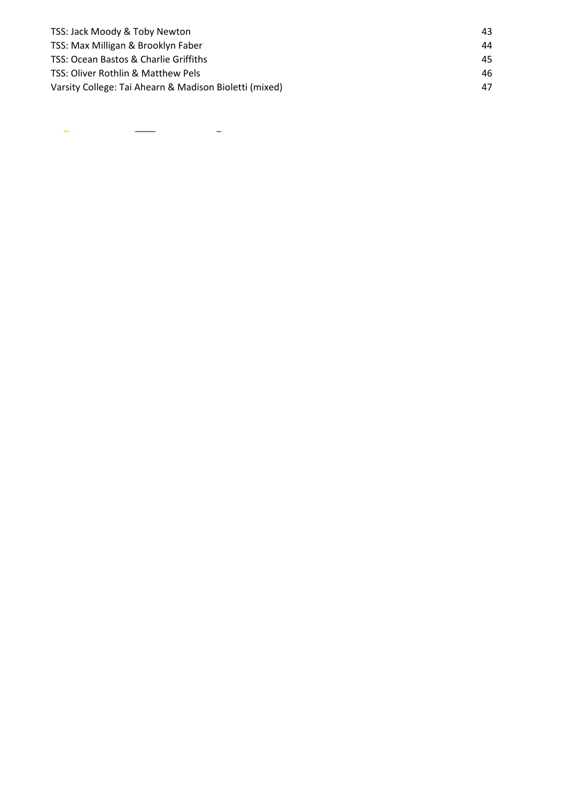| TSS: Jack Moody & Toby Newton                          | 43. |
|--------------------------------------------------------|-----|
| TSS: Max Milligan & Brooklyn Faber                     | 44  |
| TSS: Ocean Bastos & Charlie Griffiths                  | 45. |
| TSS: Oliver Rothlin & Matthew Pels                     | 46  |
| Varsity College: Tai Ahearn & Madison Bioletti (mixed) | 47  |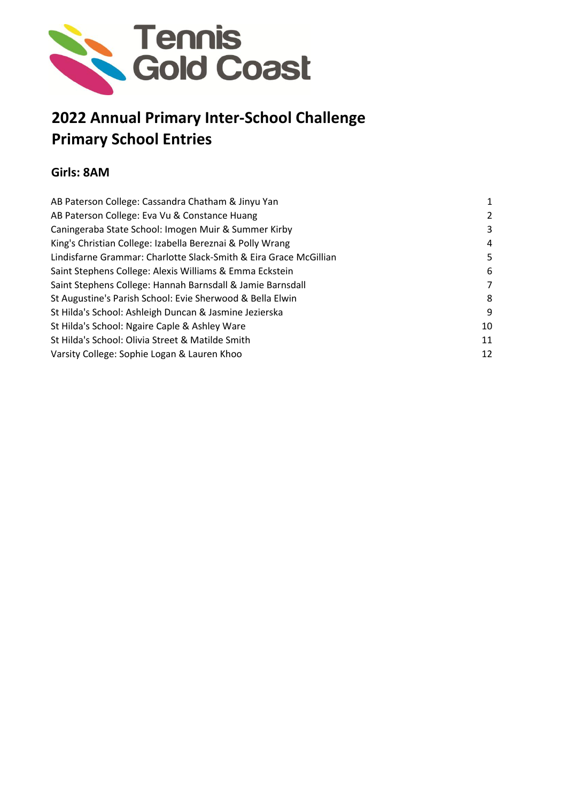

## **2022 Annual Primary Inter-School Challenge Primary School Entries**

### **Girls: 8AM**

| AB Paterson College: Cassandra Chatham & Jinyu Yan                | 1  |
|-------------------------------------------------------------------|----|
| AB Paterson College: Eva Vu & Constance Huang                     | 2  |
| Caningeraba State School: Imogen Muir & Summer Kirby              | 3  |
| King's Christian College: Izabella Bereznai & Polly Wrang         | 4  |
| Lindisfarne Grammar: Charlotte Slack-Smith & Eira Grace McGillian | 5. |
| Saint Stephens College: Alexis Williams & Emma Eckstein           | 6  |
| Saint Stephens College: Hannah Barnsdall & Jamie Barnsdall        | 7  |
| St Augustine's Parish School: Evie Sherwood & Bella Elwin         | 8  |
| St Hilda's School: Ashleigh Duncan & Jasmine Jezierska            | 9  |
| St Hilda's School: Ngaire Caple & Ashley Ware                     | 10 |
| St Hilda's School: Olivia Street & Matilde Smith                  | 11 |
| Varsity College: Sophie Logan & Lauren Khoo                       | 12 |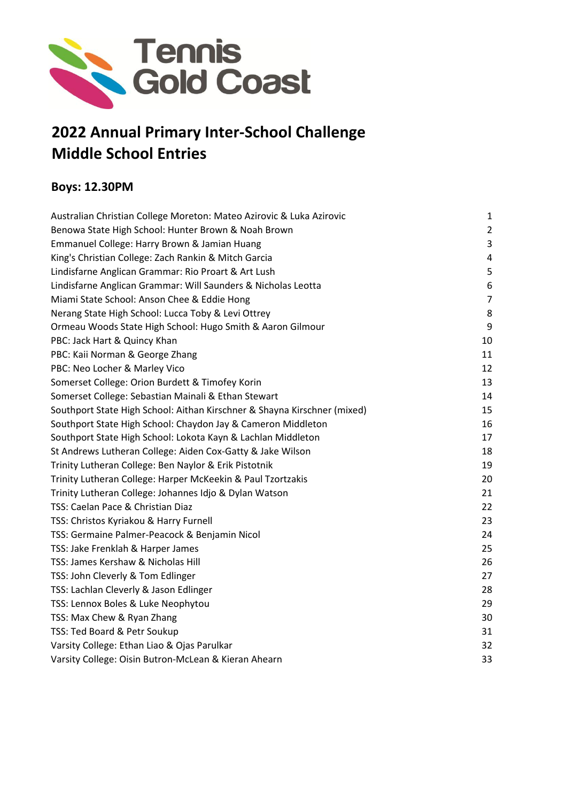

### **2022 Annual Primary Inter-School Challenge Middle School Entries**

### **Boys: 12.30PM**

| Australian Christian College Moreton: Mateo Azirovic & Luka Azirovic     | $\mathbf{1}$     |
|--------------------------------------------------------------------------|------------------|
| Benowa State High School: Hunter Brown & Noah Brown                      | $\overline{2}$   |
| Emmanuel College: Harry Brown & Jamian Huang                             | $\overline{3}$   |
| King's Christian College: Zach Rankin & Mitch Garcia                     | 4                |
| Lindisfarne Anglican Grammar: Rio Proart & Art Lush                      | 5                |
| Lindisfarne Anglican Grammar: Will Saunders & Nicholas Leotta            | $\boldsymbol{6}$ |
| Miami State School: Anson Chee & Eddie Hong                              | $\overline{7}$   |
| Nerang State High School: Lucca Toby & Levi Ottrey                       | 8                |
| Ormeau Woods State High School: Hugo Smith & Aaron Gilmour               | 9                |
| PBC: Jack Hart & Quincy Khan                                             | 10               |
| PBC: Kaii Norman & George Zhang                                          | 11               |
| PBC: Neo Locher & Marley Vico                                            | 12               |
| Somerset College: Orion Burdett & Timofey Korin                          | 13               |
| Somerset College: Sebastian Mainali & Ethan Stewart                      | 14               |
| Southport State High School: Aithan Kirschner & Shayna Kirschner (mixed) | 15               |
| Southport State High School: Chaydon Jay & Cameron Middleton             | 16               |
| Southport State High School: Lokota Kayn & Lachlan Middleton             | 17               |
| St Andrews Lutheran College: Aiden Cox-Gatty & Jake Wilson               | 18               |
| Trinity Lutheran College: Ben Naylor & Erik Pistotnik                    | 19               |
| Trinity Lutheran College: Harper McKeekin & Paul Tzortzakis              | 20               |
| Trinity Lutheran College: Johannes Idjo & Dylan Watson                   | 21               |
| TSS: Caelan Pace & Christian Diaz                                        | 22               |
| TSS: Christos Kyriakou & Harry Furnell                                   | 23               |
| TSS: Germaine Palmer-Peacock & Benjamin Nicol                            | 24               |
| TSS: Jake Frenklah & Harper James                                        | 25               |
| TSS: James Kershaw & Nicholas Hill                                       | 26               |
| TSS: John Cleverly & Tom Edlinger                                        | 27               |
| TSS: Lachlan Cleverly & Jason Edlinger                                   | 28               |
| TSS: Lennox Boles & Luke Neophytou                                       | 29               |
| TSS: Max Chew & Ryan Zhang                                               | 30               |
| TSS: Ted Board & Petr Soukup                                             | 31               |
| Varsity College: Ethan Liao & Ojas Parulkar                              | 32               |
| Varsity College: Oisin Butron-McLean & Kieran Ahearn                     | 33               |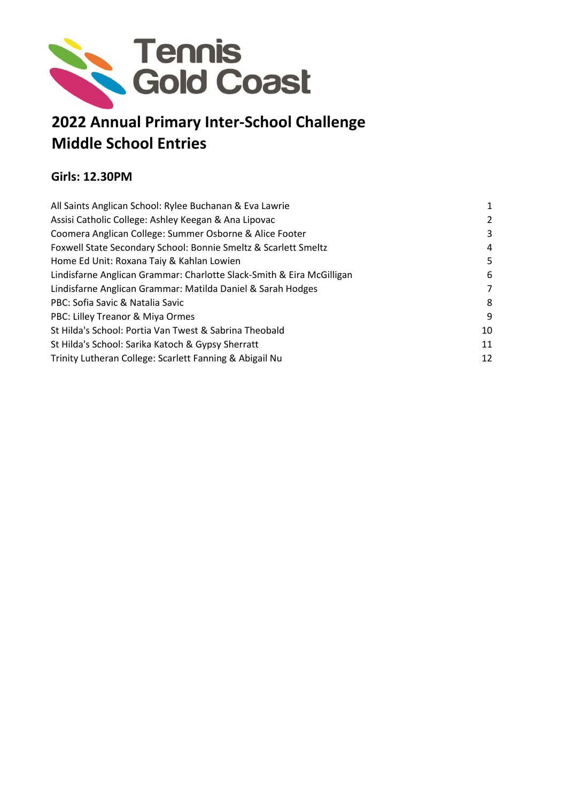

### **2022 Annual Primary Inter-School Challenge Middle School Entries**

### **Girls: 12.30PM**

| All Saints Anglican School: Rylee Buchanan & Eva Lawrie               | $\mathbf{1}$ |
|-----------------------------------------------------------------------|--------------|
| Assisi Catholic College: Ashley Keegan & Ana Lipovac                  | 2            |
| Coomera Anglican College: Summer Osborne & Alice Footer               | 3            |
| Foxwell State Secondary School: Bonnie Smeltz & Scarlett Smeltz       | 4            |
| Home Ed Unit: Roxana Taiy & Kahlan Lowien                             | 5.           |
| Lindisfarne Anglican Grammar: Charlotte Slack-Smith & Eira McGilligan | 6            |
| Lindisfarne Anglican Grammar: Matilda Daniel & Sarah Hodges           | 7            |
| PBC: Sofia Savic & Natalia Savic                                      | 8            |
| PBC: Lilley Treanor & Miya Ormes                                      | 9            |
| St Hilda's School: Portia Van Twest & Sabrina Theobald                | 10           |
| St Hilda's School: Sarika Katoch & Gypsy Sherratt                     | 11           |
| Trinity Lutheran College: Scarlett Fanning & Abigail Nu               | 12           |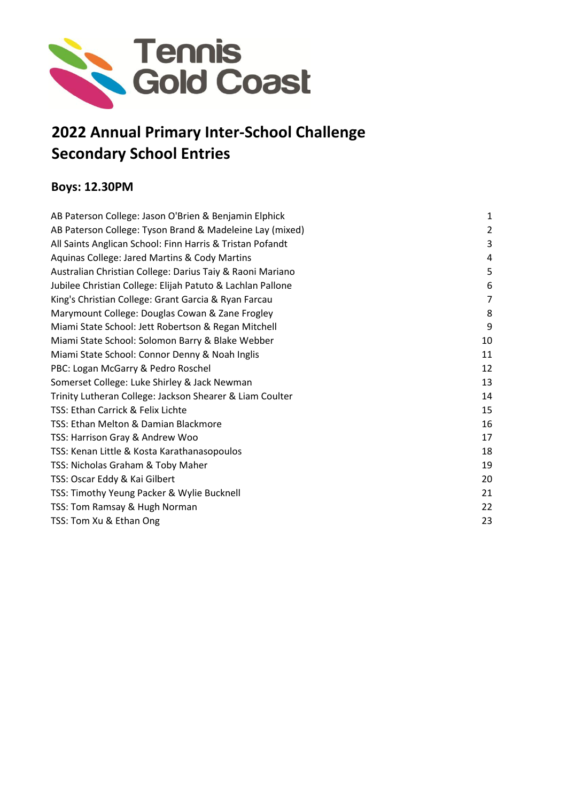

### **2022 Annual Primary Inter-School Challenge Secondary School Entries**

### **Boys: 12.30PM**

| AB Paterson College: Jason O'Brien & Benjamin Elphick      | 1  |
|------------------------------------------------------------|----|
| AB Paterson College: Tyson Brand & Madeleine Lay (mixed)   | 2  |
| All Saints Anglican School: Finn Harris & Tristan Pofandt  | 3  |
| Aquinas College: Jared Martins & Cody Martins              | 4  |
| Australian Christian College: Darius Taiy & Raoni Mariano  | 5  |
| Jubilee Christian College: Elijah Patuto & Lachlan Pallone | 6  |
| King's Christian College: Grant Garcia & Ryan Farcau       | 7  |
| Marymount College: Douglas Cowan & Zane Frogley            | 8  |
| Miami State School: Jett Robertson & Regan Mitchell        | 9  |
| Miami State School: Solomon Barry & Blake Webber           | 10 |
| Miami State School: Connor Denny & Noah Inglis             | 11 |
| PBC: Logan McGarry & Pedro Roschel                         | 12 |
| Somerset College: Luke Shirley & Jack Newman               | 13 |
| Trinity Lutheran College: Jackson Shearer & Liam Coulter   | 14 |
| TSS: Ethan Carrick & Felix Lichte                          | 15 |
| TSS: Ethan Melton & Damian Blackmore                       | 16 |
| TSS: Harrison Gray & Andrew Woo                            | 17 |
| TSS: Kenan Little & Kosta Karathanasopoulos                | 18 |
| TSS: Nicholas Graham & Toby Maher                          | 19 |
| TSS: Oscar Eddy & Kai Gilbert                              | 20 |
| TSS: Timothy Yeung Packer & Wylie Bucknell                 | 21 |
| TSS: Tom Ramsay & Hugh Norman                              | 22 |
| TSS: Tom Xu & Ethan Ong                                    | 23 |
|                                                            |    |